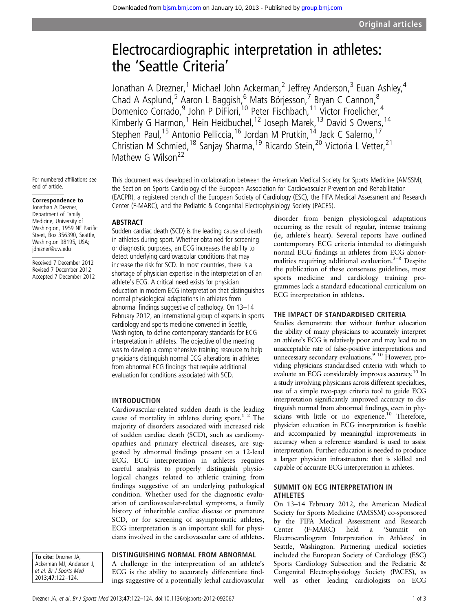# Electrocardiographic interpretation in athletes: the 'Seattle Criteria'

Jonathan A Drezner,<sup>1</sup> Michael John Ackerman,<sup>2</sup> Jeffrey Anderson,<sup>3</sup> Euan Ashley,<sup>4</sup> Chad A Asplund,<sup>5</sup> Aaron L Baggish,<sup>6</sup> Mats Börjesson,<sup>7</sup> Bryan C Cannon,<sup>8</sup> Domenico Corrado,<sup>9</sup> John P DiFiori,<sup>10</sup> Peter Fischbach,<sup>11</sup> Victor Froelicher,<sup>4</sup> Kimberly G Harmon,<sup>1</sup> Hein Heidbuchel,<sup>12</sup> Joseph Marek,<sup>13</sup> David S Owens,<sup>14</sup> Stephen Paul, <sup>15</sup> Antonio Pelliccia, <sup>16</sup> Jordan M Prutkin, <sup>14</sup> Jack C Salerno, <sup>17</sup> Christian M Schmied,<sup>18</sup> Sanjay Sharma,<sup>19</sup> Ricardo Stein,<sup>20</sup> Victoria L Vetter,<sup>21</sup> Mathew G Wilson<sup>22</sup>

For numbered affiliations see end of article.

Correspondence to

Jonathan A Drezner, Department of Family Medicine, University of Washington, 1959 NE Pacific Street, Box 356390, Seattle, Washington 98195, USA; jdrezner@uw.edu

Received 7 December 2012 Revised 7 December 2012 Accepted 7 December 2012 This document was developed in collaboration between the American Medical Society for Sports Medicine (AMSSM), the Section on Sports Cardiology of the European Association for Cardiovascular Prevention and Rehabilitation (EACPR), a registered branch of the European Society of Cardiology (ESC), the FIFA Medical Assessment and Research Center (F-MARC), and the Pediatric & Congenital Electrophysiology Society (PACES).

# ABSTRACT

Sudden cardiac death (SCD) is the leading cause of death in athletes during sport. Whether obtained for screening or diagnostic purposes, an ECG increases the ability to detect underlying cardiovascular conditions that may increase the risk for SCD. In most countries, there is a shortage of physician expertise in the interpretation of an athlete's ECG. A critical need exists for physician education in modern ECG interpretation that distinguishes normal physiological adaptations in athletes from abnormal findings suggestive of pathology. On 13–14 February 2012, an international group of experts in sports cardiology and sports medicine convened in Seattle, Washington, to define contemporary standards for ECG interpretation in athletes. The objective of the meeting was to develop a comprehensive training resource to help physicians distinguish normal ECG alterations in athletes from abnormal ECG findings that require additional evaluation for conditions associated with SCD.

## INTRODUCTION

Cardiovascular-related sudden death is the leading cause of mortality in athletes during sport.<sup>1</sup> <sup>2</sup> The majority of disorders associated with increased risk of sudden cardiac death (SCD), such as cardiomyopathies and primary electrical diseases, are suggested by abnormal findings present on a 12-lead ECG. ECG interpretation in athletes requires careful analysis to properly distinguish physiological changes related to athletic training from findings suggestive of an underlying pathological condition. Whether used for the diagnostic evaluation of cardiovascular-related symptoms, a family history of inheritable cardiac disease or premature SCD, or for screening of asymptomatic athletes, ECG interpretation is an important skill for physicians involved in the cardiovascular care of athletes.

To cite: Drezner JA. Ackerman MJ, Anderson J, et al. Br J Sports Med 2013;47:122–124.

## DISTINGUISHING NORMAL FROM ABNORMAL

A challenge in the interpretation of an athlete's ECG is the ability to accurately differentiate findings suggestive of a potentially lethal cardiovascular

disorder from benign physiological adaptations occurring as the result of regular, intense training (ie, athlete's heart). Several reports have outlined contemporary ECG criteria intended to distinguish normal ECG findings in athletes from ECG abnormalities requiring additional evaluation.<sup>3-8</sup> Despite the publication of these consensus guidelines, most sports medicine and cardiology training programmes lack a standard educational curriculum on ECG interpretation in athletes.

## THE IMPACT OF STANDARDISED CRITERIA

Studies demonstrate that without further education the ability of many physicians to accurately interpret an athlete's ECG is relatively poor and may lead to an unacceptable rate of false-positive interpretations and unnecessary secondary evaluations.<sup>9</sup> <sup>10</sup> However, providing physicians standardised criteria with which to evaluate an ECG considerably improves accuracy.<sup>10</sup> In a study involving physicians across different specialties, use of a simple two-page criteria tool to guide ECG interpretation significantly improved accuracy to distinguish normal from abnormal findings, even in physicians with little or no experience.<sup>10</sup> Therefore, physician education in ECG interpretation is feasible and accompanied by meaningful improvements in accuracy when a reference standard is used to assist interpretation. Further education is needed to produce a larger physician infrastructure that is skilled and capable of accurate ECG interpretation in athletes.

#### SUMMIT ON ECG INTERPRETATION IN ATHLETES

On 13–14 February 2012, the American Medical Society for Sports Medicine (AMSSM) co-sponsored by the FIFA Medical Assessment and Research Center (F-MARC) held a 'Summit on Electrocardiogram Interpretation in Athletes' in Seattle, Washington. Partnering medical societies included the European Society of Cardiology (ESC) Sports Cardiology Subsection and the Pediatric & Congenital Electrophysiology Society (PACES), as well as other leading cardiologists on ECG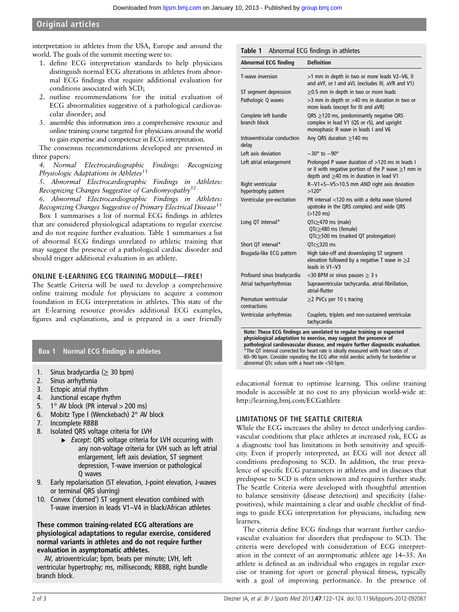Original articles

interpretation in athletes from the USA, Europe and around the world. The goals of the summit meeting were to:

- 1. define ECG interpretation standards to help physicians distinguish normal ECG alterations in athletes from abnormal ECG findings that require additional evaluation for conditions associated with SCD;
- 2. outline recommendations for the initial evaluation of ECG abnormalities suggestive of a pathological cardiovascular disorder; and
- 3. assemble this information into a comprehensive resource and online training course targeted for physicians around the world to gain expertise and competence in ECG interpretation.

The consensus recommendations developed are presented in three papers:

4. Normal Electrocardiographic Findings: Recognizing Physiologic Adaptations in Athletes<sup>11</sup>

5. Abnormal Electrocardiographic Findings in Athletes: Recognizing Changes Suggestive of Cardiomyopathy<sup>12</sup>

6. Abnormal Electrocardiographic Findings in Athletes: Recognizing Changes Suggestive of Primary Electrical Disease<sup>13</sup>

Box 1 summarises a list of normal ECG findings in athletes that are considered physiological adaptations to regular exercise and do not require further evaluation. Table 1 summarises a list of abnormal ECG findings unrelated to athletic training that may suggest the presence of a pathological cardiac disorder and should trigger additional evaluation in an athlete.

## ONLINE E-LEARNING ECG TRAINING MODULE—FREE!

The Seattle Criteria will be used to develop a comprehensive online training module for physicians to acquire a common foundation in ECG interpretation in athletes. This state of the art E-learning resource provides additional ECG examples, figures and explanations, and is prepared in a user friendly

# Box 1 Normal ECG findings in athletes

- 1. Sinus bradycardia ( $\geq$  30 bpm)
- 2. Sinus arrhythmia
- 3. Ectopic atrial rhythm
- 4. Junctional escape rhythm
- 5. 1 $\degree$  AV block (PR interval  $>$  200 ms)
- 6. Mobitz Type I (Wenckebach) 2° AV block
- 7. Incomplete RBBB
- 8. Isolated QRS voltage criteria for LVH
	- ▶ Except: QRS voltage criteria for LVH occurring with any non-voltage criteria for LVH such as left atrial enlargement, left axis deviation, ST segment depression, T-wave inversion or pathological Q waves
- 9. Early repolarisation (ST elevation, J-point elevation, J-waves or terminal QRS slurring)
- 10. Convex ('domed') ST segment elevation combined with T-wave inversion in leads V1–V4 in black/African athletes

## These common training-related ECG alterations are physiological adaptations to regular exercise, considered normal variants in athletes and do not require further evaluation in asymptomatic athletes.

AV, atrioventricular; bpm, beats per minute; LVH, left ventricular hypertrophy; ms, milliseconds; RBBB, right bundle branch block.

| <b>Abnormal ECG finding</b>              | <b>Definition</b>                                                                                                                                            |
|------------------------------------------|--------------------------------------------------------------------------------------------------------------------------------------------------------------|
| T-wave inversion                         | >1 mm in depth in two or more leads V2-V6, II<br>and aVF, or I and aVL (excludes III, aVR and V1)                                                            |
| ST segment depression                    | $\geq$ 0.5 mm in depth in two or more leads                                                                                                                  |
| Pathologic Q waves                       | $>$ 3 mm in depth or $>$ 40 ms in duration in two or<br>more leads (except for III and aVR)                                                                  |
| Complete left bundle<br>branch block     | QRS $\geq$ 120 ms, predominantly negative QRS<br>complex in lead V1 (QS or rS), and upright<br>monophasic R wave in leads I and V6                           |
| Intraventricular conduction<br>delay     | Any QRS duration $\geq$ 140 ms                                                                                                                               |
| Left axis deviation                      | $-30^\circ$ to $-90^\circ$                                                                                                                                   |
| Left atrial enlargement                  | Prolonged P wave duration of >120 ms in leads I<br>or II with negative portion of the P wave $\geq$ 1 mm in<br>depth and $\geq$ 40 ms in duration in lead V1 |
| Right ventricular<br>hypertrophy pattern | R-V1+S-V5>10.5 mm AND right axis deviation<br>$>120^\circ$                                                                                                   |
| Ventricular pre-excitation               | PR interval <120 ms with a delta wave (slurred<br>upstroke in the QRS complex) and wide QRS<br>$( > 120$ ms)                                                 |
| Long QT interval*                        | $QTc \geq 470$ ms (male)<br>QTc>480 ms (female)<br>$QTc \geq 500$ ms (marked QT prolongation)                                                                |
| Short QT interval*                       | OTc<320 ms                                                                                                                                                   |
| Brugada-like ECG pattern                 | High take-off and downsloping ST segment<br>elevation followed by a negative T wave in $\geq$ 2<br>leads in V1-V3                                            |
| Profound sinus bradycardia               | <30 BPM or sinus pauses $\geq$ 3 s                                                                                                                           |
| Atrial tachyarrhythmias                  | Supraventricular tachycardia, atrial-fibrillation,<br>atrial-flutter                                                                                         |
| Premature ventricular<br>contractions    | $\geq$ 2 PVCs per 10 s tracing                                                                                                                               |
| Ventricular arrhythmias                  | Couplets, triplets and non-sustained ventricular<br>tachycardia                                                                                              |

Note: These ECG findings are unrelated to regular training or expected physiological adaptation to exercise, may suggest the presence of pathological cardiovascular disease, and require further diagnostic evaluation. \*The QT interval corrected for heart rate is ideally measured with heart rates of 60–90 bpm. Consider repeating the ECG after mild aerobic activity for borderline or abnormal QTc values with a heart rate <50 bpm.

educational format to optimise learning. This online training module is accessible at no cost to any physician world-wide at: <http://learning.bmj.com/ECGathlete>

## LIMITATIONS OF THE SEATTLE CRITERIA

While the ECG increases the ability to detect underlying cardiovascular conditions that place athletes at increased risk, ECG as a diagnostic tool has limitations in both sensitivity and specificity. Even if properly interpreted, an ECG will not detect all conditions predisposing to SCD. In addition, the true prevalence of specific ECG parameters in athletes and in diseases that predispose to SCD is often unknown and requires further study. The Seattle Criteria were developed with thoughtful attention to balance sensitivity (disease detection) and specificity (falsepositives), while maintaining a clear and usable checklist of findings to guide ECG interpretation for physicians, including new learners.

The criteria define ECG findings that warrant further cardiovascular evaluation for disorders that predispose to SCD. The criteria were developed with consideration of ECG interpretation in the context of an asymptomatic athlete age 14–35. An athlete is defined as an individual who engages in regular exercise or training for sport or general physical fitness, typically with a goal of improving performance. In the presence of

# Table 1 Abnormal ECG findings in athletes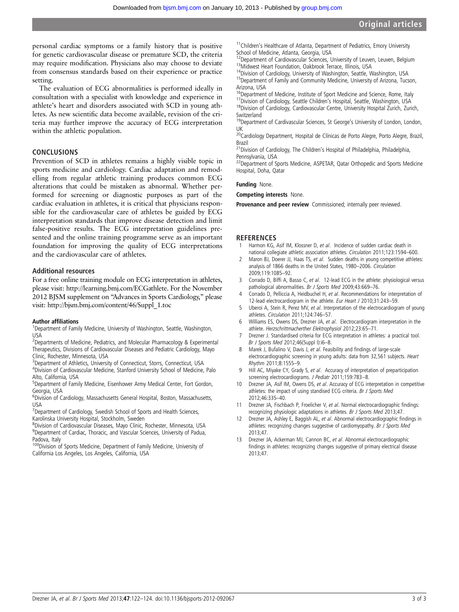personal cardiac symptoms or a family history that is positive for genetic cardiovascular disease or premature SCD, the criteria may require modification. Physicians also may choose to deviate from consensus standards based on their experience or practice setting.

The evaluation of ECG abnormalities is performed ideally in consultation with a specialist with knowledge and experience in athlete's heart and disorders associated with SCD in young athletes. As new scientific data become available, revision of the criteria may further improve the accuracy of ECG interpretation within the athletic population.

#### CONCLUSIONS

Prevention of SCD in athletes remains a highly visible topic in sports medicine and cardiology. Cardiac adaptation and remodelling from regular athletic training produces common ECG alterations that could be mistaken as abnormal. Whether performed for screening or diagnostic purposes as part of the cardiac evaluation in athletes, it is critical that physicians responsible for the cardiovascular care of athletes be guided by ECG interpretation standards that improve disease detection and limit false-positive results. The ECG interpretation guidelines presented and the online training programme serve as an important foundation for improving the quality of ECG interpretations and the cardiovascular care of athletes.

#### Additional resources

For a free online training module on ECG interpretation in athletes, please visit: http://learning.bmj.com/ECGathlete. For the November 2012 BJSM supplement on "Advances in Sports Cardiology," please visit: http://bjsm.bmj.com/content/46/Suppl\_1.toc

#### Author affiliations <sup>1</sup>

<sup>1</sup>Department of Family Medicine, University of Washington, Seattle, Washington, USA

<sup>2</sup>Departments of Medicine, Pediatrics, and Molecular Pharmacology & Experimental Therapeutics, Divisions of Cardiovascular Diseases and Pediatric Cardiology, Mayo Clinic, Rochester, Minnesota, USA

<sup>3</sup>Department of Athletics, University of Connecticut, Storrs, Connecticut, USA 4 Division of Cardiovascular Medicine, Stanford University School of Medicine, Palo Alto, California, USA

<sup>5</sup>Department of Family Medicine, Eisenhower Army Medical Center, Fort Gordon, Georgia, USA

<sup>6</sup>Division of Cardiology, Massachusetts General Hospital, Boston, Massachusetts, USA

<sup>7</sup> Department of Cardiology, Swedish School of Sports and Health Sciences, Karolinska University Hospital, Stockholm, Sweden

8 Division of Cardiovascular Diseases, Mayo Clinic, Rochester, Minnesota, USA <sup>9</sup>Department of Cardiac, Thoracic, and Vascular Sciences, University of Padua, Padova, Italy

100Division of Sports Medicine, Department of Family Medicine, University of California Los Angeles, Los Angeles, California, USA

<sup>11</sup>Children's Healthcare of Atlanta, Department of Pediatrics, Emory University School of Medicine, Atlanta, Georgia, USA<br>
<sup>12</sup>Department of Cardiovascular Sciences, University of Leuven, Leuven, Belgium

<sup>13</sup>Midwest Heart Foundation, Oakbrook Terrace, Illinois, USA<br><sup>14</sup>Division of Cardiology, University of Washington, Seattle, Washington, USA<br><sup>15</sup>Department of Family and Community Medicine, University of Arizona, Tucson,

Arizona, USA<br><sup>16</sup>Department of Medicine, Institute of Sport Medicine and Science, Rome, Italy

17 Division of Cardiology, Seattle Children's Hospital, Seattle, Washington, USA<br><sup>18</sup> Division of Cardiology, Cardiovascular Centre, University Hospital Zurich, Zurich, **Switzerland** 

19Department of Cardivascular Sciences, St George's University of London, London, UK

<sup>20</sup>Cardiology Department, Hospital de Clínicas de Porto Alegre, Porto Alegre, Brazil, Brazil

21Division of Cardiology, The Children's Hospital of Philadelphia, Philadelphia, Pennsylvania, USA

<sup>22</sup>Department of Sports Medicine, ASPETAR, Qatar Orthopedic and Sports Medicine Hospital, Doha, Qatar

#### Funding None.

Competing interests None.

Provenance and peer review Commissioned; internally peer reviewed.

#### **REFERENCES**

- 1 Harmon KG, Asif IM, Klossner D, et al. Incidence of sudden cardiac death in national collegiate athletic association athletes. Circulation 2011;123:1594–600.
- Maron BJ, Doerer JJ, Haas TS, et al. Sudden deaths in young competitive athletes: analysis of 1866 deaths in the United States, 1980–2006. Circulation 2009;119:1085–92.
- 3 Corrado D, Biffi A, Basso C, et al. 12-lead ECG in the athlete: physiological versus pathological abnormalities. Br J Sports Med 2009;43:669-76.
- 4 Corrado D, Pelliccia A, Heidbuchel H, et al. Recommendations for interpretation of 12-lead electrocardiogram in the athlete. Eur Heart J 2010;31:243-59.
- 5 Uberoi A, Stein R, Perez MV, et al. Interpretation of the electrocardiogram of young athletes. Circulation 2011;124:746–57.
- 6 Williams ES, Owens DS, Drezner JA, et al. Electrocardiogram interpretation in the athlete. Herzschrittmacherther Elektrophysiol 2012;23:65–71.
- 7 Drezner J. Standardised criteria for ECG interpretation in athletes: a practical tool. Br J Sports Med 2012;46(Suppl I):i6–8.
- 8 Marek J, Bufalino V, Davis J, et al. Feasibility and findings of large-scale electrocardiographic screening in young adults: data from 32,561 subjects. Heart Rhythm 2011;8:1555–9.
- 9 Hill AC, Miyake CY, Grady S, et al. Accuracy of interpretation of preparticipation screening electrocardiograms. J Pediatr 2011;159:783-8.
- 10 Drezner JA, Asif IM, Owens DS, et al. Accuracy of ECG interpretation in competitive athletes: the impact of using standised ECG criteria. Br J Sports Med 2012;46:335–40.
- 11 Drezner JA, Fischbach P, Froelicher V, et al. Normal electrocardiographic findings: recognizing physiologic adaptations in athletes. Br J Sports Med 2013;47.
- 12 Drezner JA, Ashley E, Baggish AL, et al. Abnormal electrocardiographic findings in athletes: recognizing changes suggestive of cardiomyopathy. Br J Sports Med 2013;47.
- 13 Drezner JA, Ackerman MJ, Cannon BC, et al. Abnormal electrocardiographic findings in athletes: recognizing changes suggestive of primary electrical disease 2013;47.